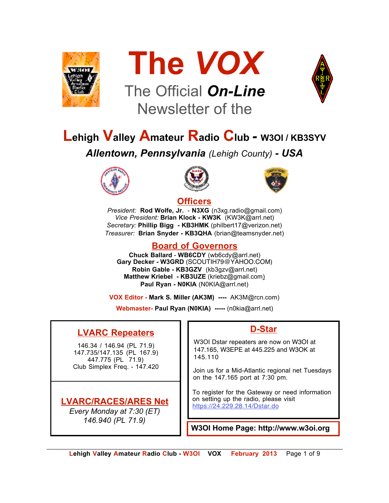



# The Official *On-Line* Newsletter of the



# **Lehigh Valley Amateur Radio Club** *-* **W3OI / KB3SYV**

*Allentown, Pennsylvania (Lehigh County) - USA*







#### **Officers**

*President:* **Rod Wolfe, Jr.** - **N3XG** (n3xg.radio@gmail.com) *Vice President:* **Brian Klock - KW3K** (KW3K@arrl.net) *Secretary:* **Phillip Bigg - KB3HMK** (philbert17@verizon.net) *Treasurer:* **Brian Snyder - KB3QHA** (brian@teamsnyder.net)

#### **Board of Governors**

**Chuck Ballard** - **WB6CDY** (wb6cdy@arrl.net) **Gary Decker - W3GRD** (SCOUTIH79@YAHOO.COM) **Robin Gable - KB3GZV** (kb3gzv@arrl.net) **Matthew Kriebel - KB3UZE** (kriebz@gmail.com) **Paul Ryan - N0KIA** (N0KIA@arrl.net)

**VOX Editor - Mark S. Miller (AK3M) ----** AK3M@rcn.com)

**Webmaster- Paul Ryan (N0KIA) -----** (n0kia@arrl.net)

## **LVARC Repeaters**

146.34 / 146.94 (PL 71.9) 147.735/147.135 (PL 167.9) 447.775 (PL 71.9) Club Simplex Freq. - 147.420

## **LVARC/RACES/ARES Net**

*Every Monday at 7:30 (ET) 146.940 (PL 71.9)*

#### **D-Star**

W3OI Dstar repeaters are now on W3OI at 147.165, W3EPE at 445.225 and W3OK at 145.110

Join us for a Mid-Atlantic regional net Tuesdays on the 147.165 port at 7:30 pm.

To register for the Gateway or need information on setting up the radio, please visit https://24.229.28.14/Dstar.do

**W3OI Home Page: http://www.w3oi.org**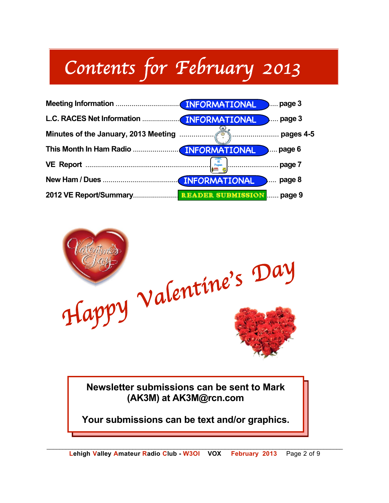# *Contents for February 2013*





**Newsletter submissions can be sent to Mark (AK3M) at AK3M@rcn.com**

**Your submissions can be text and/or graphics.**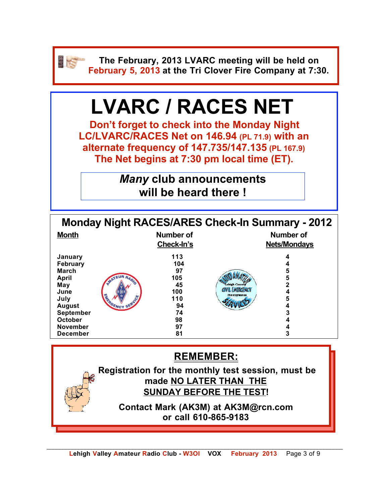

**The February, 2013 LVARC meeting will be held on February 5, 2013 at the Tri Clover Fire Company at 7:30.**

# **LVARC / RACES NET**

**Don't forget to check into the Monday Night LC/LVARC/RACES Net on 146.94 (PL 71.9) with an alternate frequency of 147.735/147.135 (PL 167.9) The Net begins at 7:30 pm local time (ET).** 

> *Many* **club announcements will be heard there !**

| <b>Month</b>                                                                                                                                              | Number of<br>Check-In's                                                   | <b>Monday Night RACES/ARES Check-In Summary - 2012</b><br><b>Number of</b><br><b>Nets/Mondays</b>              |  |
|-----------------------------------------------------------------------------------------------------------------------------------------------------------|---------------------------------------------------------------------------|----------------------------------------------------------------------------------------------------------------|--|
| January<br>February<br><b>March</b><br><b>April</b><br>May<br>June<br>July<br><b>August</b><br>September<br>October<br><b>November</b><br><b>December</b> | 113<br>104<br>97<br>105<br>45<br>100<br>110<br>94<br>74<br>98<br>97<br>81 | 4<br>5<br>5<br>$\overline{2}$<br>ish Cour<br>CIVIL EMERCENC<br>4<br>Pennsylvania<br>5<br>4<br>3<br>4<br>4<br>3 |  |
| <b>REMEMBER:</b><br>Registration for the monthly test session, must be<br>made NO LATER THAN THE                                                          |                                                                           |                                                                                                                |  |
|                                                                                                                                                           |                                                                           | <b>SUNDAY BEFORE THE TEST!</b><br>Contact Mark (AK3M) at AK3M@rcn.com<br>or call 610-865-9183                  |  |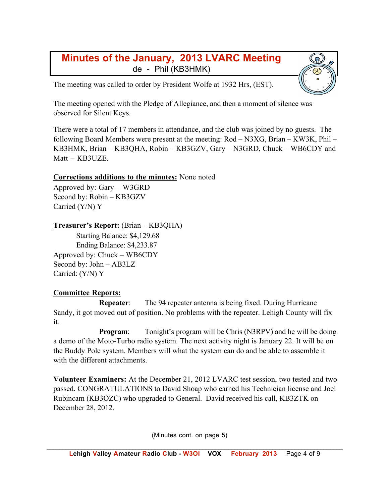## **Minutes of the January, 2013 LVARC Meeting** de - Phil (KB3HMK)

The meeting was called to order by President Wolfe at 1932 Hrs, (EST).

The meeting opened with the Pledge of Allegiance, and then a moment of silence was observed for Silent Keys.

There were a total of 17 members in attendance, and the club was joined by no guests. The following Board Members were present at the meeting: Rod – N3XG, Brian – KW3K, Phil – KB3HMK, Brian – KB3QHA, Robin – KB3GZV, Gary – N3GRD, Chuck – WB6CDY and Matt – KB3UZE.

#### **Corrections additions to the minutes:** None noted

Approved by: Gary – W3GRD Second by: Robin – KB3GZV Carried (Y/N) Y

#### **Treasurer's Report:** (Brian – KB3QHA)

Starting Balance: \$4,129.68 Ending Balance: \$4,233.87 Approved by: Chuck – WB6CDY Second by: John – AB3LZ Carried: (Y/N) Y

#### **Committee Reports:**

**Repeater:** The 94 repeater antenna is being fixed. During Hurricane Sandy, it got moved out of position. No problems with the repeater. Lehigh County will fix it.

**Program:** Tonight's program will be Chris (N3RPV) and he will be doing a demo of the Moto-Turbo radio system. The next activity night is January 22. It will be on the Buddy Pole system. Members will what the system can do and be able to assemble it with the different attachments.

**Volunteer Examiners:** At the December 21, 2012 LVARC test session, two tested and two passed. CONGRATULATIONS to David Shoap who earned his Technician license and Joel Rubincam (KB3OZC) who upgraded to General. David received his call, KB3ZTK on December 28, 2012.

(Minutes cont. on page 5)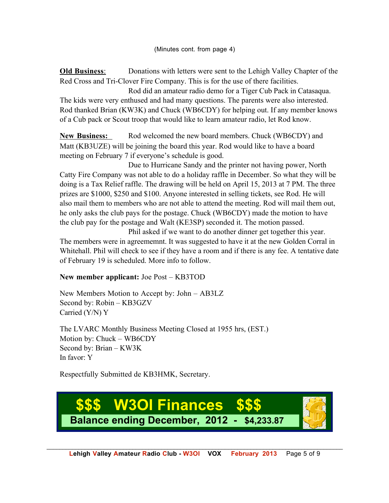**Old Business**: Donations with letters were sent to the Lehigh Valley Chapter of the Red Cross and Tri-Clover Fire Company. This is for the use of there facilities.

Rod did an amateur radio demo for a Tiger Cub Pack in Catasaqua. The kids were very enthused and had many questions. The parents were also interested. Rod thanked Brian (KW3K) and Chuck (WB6CDY) for helping out. If any member knows of a Cub pack or Scout troop that would like to learn amateur radio, let Rod know.

New Business: Rod welcomed the new board members. Chuck (WB6CDY) and Matt (KB3UZE) will be joining the board this year. Rod would like to have a board meeting on February 7 if everyone's schedule is good.

Due to Hurricane Sandy and the printer not having power, North Catty Fire Company was not able to do a holiday raffle in December. So what they will be doing is a Tax Relief raffle. The drawing will be held on April 15, 2013 at 7 PM. The three prizes are \$1000, \$250 and \$100. Anyone interested in selling tickets, see Rod. He will also mail them to members who are not able to attend the meeting. Rod will mail them out, he only asks the club pays for the postage. Chuck (WB6CDY) made the motion to have the club pay for the postage and Walt (KE3SP) seconded it. The motion passed.

Phil asked if we want to do another dinner get together this year. The members were in agreememnt. It was suggested to have it at the new Golden Corral in Whitehall. Phil will check to see if they have a room and if there is any fee. A tentative date of February 19 is scheduled. More info to follow.

#### **New member applicant:** Joe Post – KB3TOD

New Members Motion to Accept by: John – AB3LZ Second by: Robin – KB3GZV Carried (Y/N) Y

The LVARC Monthly Business Meeting Closed at 1955 hrs, (EST.) Motion by: Chuck – WB6CDY Second by: Brian – KW3K In favor: Y

Respectfully Submitted de KB3HMK, Secretary.

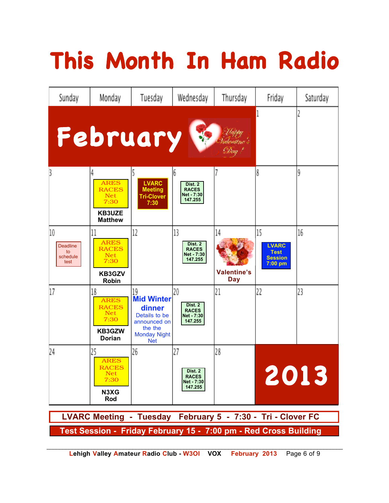# **This Month In Ham Radio**



**Lehigh Valley Amateur Radio Club - W3OI VOX February 2013** Page 6 of 9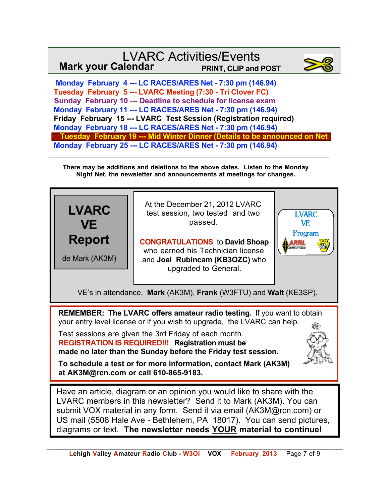## LVARC Activities/Events **Mark your Calendar PRINT, CLIP and POST**



 **Monday February 4 --- LC RACES/ARES Net - 7:30 pm (146.94) Tuesday February 5 --- LVARC Meeting (7:30 - Tri Clover FC) Sunday February 10 --- Deadline to schedule for license exam Monday February 11 --- LC RACES/ARES Net - 7:30 pm (146.94) Friday February 15 --- LVARC Test Session (Registration required) Monday February 18 --- LC RACES/ARES Net - 7:30 pm (146.94) Tuesday February 19 --- Mid Winter Dinner (Details to be announced on Net Monday February 25 --- LC RACES/ARES Net - 7:30 pm (146.94)**

**There may be additions and deletions to the above dates. Listen to the Monday Night Net, the newsletter and announcements at meetings for changes.**

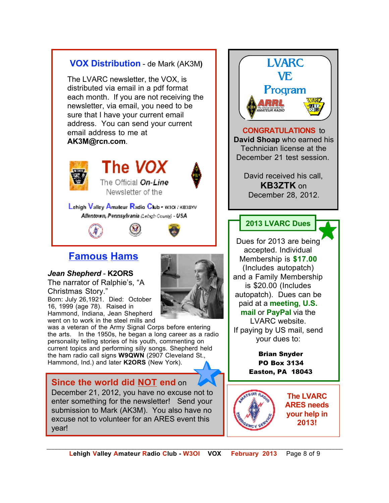

December 21, 2012, you have no excuse not to enter something for the newsletter! Send your submission to Mark (AK3M). You also have no excuse not to volunteer for an ARES event this year!

*\_\_\_\_\_\_\_\_\_\_\_\_\_\_\_\_\_\_\_\_\_\_\_\_\_\_\_\_\_\_\_\_\_\_\_\_\_\_\_\_\_\_\_\_\_\_\_\_\_\_\_\_\_\_\_\_\_\_\_\_\_\_\_\_\_\_\_\_\_\_\_\_\_\_\_\_\_\_\_\_\_\_\_\_\_\_\_\_\_\_\_\_\_*  **Lehigh Valley Amateur Radio Club - W3OI VOX February 2013** Page 8 of 9

**The LVARC ARES needs your help in 2013!**